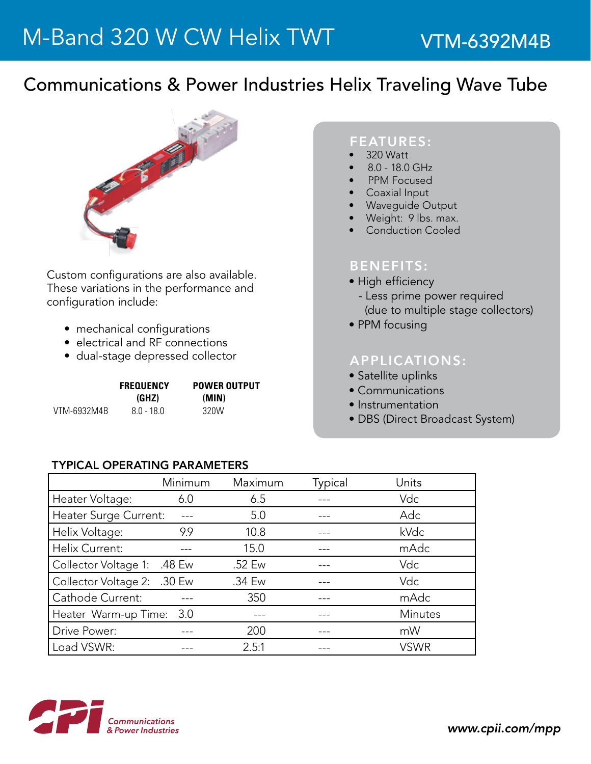## Communications & Power Industries Helix Traveling Wave Tube



Custom configurations are also available. These variations in the performance and configuration include:

- mechanical configurations
- electrical and RF connections
- dual-stage depressed collector

|             | <b>FREQUENCY</b> | <b>POWER OUTPUT</b> |  |
|-------------|------------------|---------------------|--|
|             | (GHZ)            | (MIN)               |  |
| VTM-6932M4B | $80 - 180$       | 320W                |  |

#### FEATURES:

- 320 Watt
- 8.0 18.0 GHz
- PPM Focused
- **Coaxial Input**
- **Waveguide Output**
- Weight: 9 lbs. max.
- **Conduction Cooled**

### BENEFITS:

- High efficiency
- Less prime power required (due to multiple stage collectors)
- PPM focusing

### APPLICATIONS:

- Satellite uplinks
- Communications
- Instrumentation
- DBS (Direct Broadcast System)

#### TyPICAL OPERATING PARAMETERS

|                             | Minimum | Maximum | Typical | Units       |
|-----------------------------|---------|---------|---------|-------------|
| Heater Voltage:             | 6.0     | 6.5     |         | Vdc         |
| Heater Surge Current:       |         | 5.0     |         | Adc         |
| Helix Voltage:              | 9.9     | 10.8    |         | kVdc        |
| Helix Current:              |         | 15.0    |         | mAdc        |
| Collector Voltage 1:        | .48 Ew  | .52 Ew  |         | Vdc         |
| Collector Voltage 2: .30 Ew |         | .34 Ew  |         | Vdc         |
| Cathode Current:            |         | 350     |         | mAdc        |
| Heater Warm-up Time:        | 3.0     |         |         | Minutes     |
| Drive Power:                |         | 200     |         | mW          |
| Load VSWR:                  |         | 2.5:1   |         | <b>VSWR</b> |